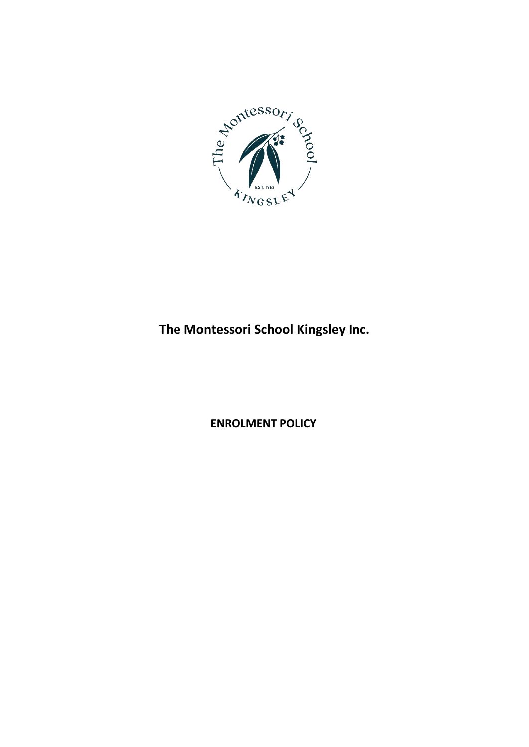

# **The Montessori School Kingsley Inc.**

**ENROLMENT POLICY**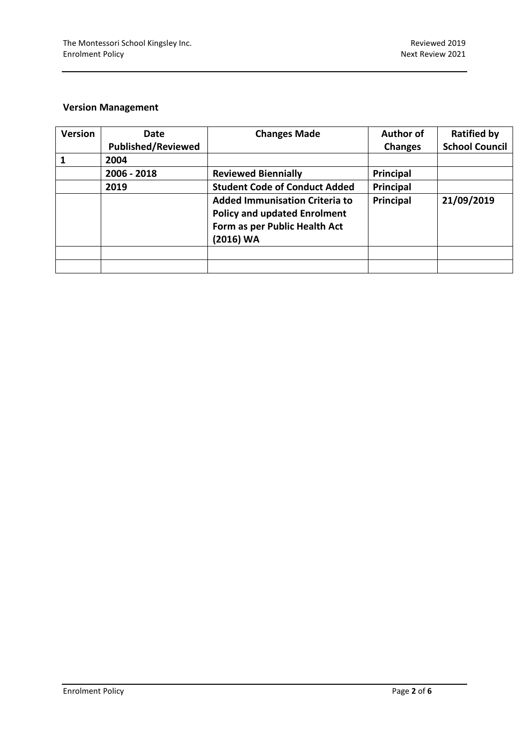# **Version Management**

| <b>Version</b> | Date                      | <b>Changes Made</b>                                                                                                        | <b>Author of</b> | <b>Ratified by</b>    |
|----------------|---------------------------|----------------------------------------------------------------------------------------------------------------------------|------------------|-----------------------|
|                | <b>Published/Reviewed</b> |                                                                                                                            | <b>Changes</b>   | <b>School Council</b> |
|                | 2004                      |                                                                                                                            |                  |                       |
|                | 2006 - 2018               | <b>Reviewed Biennially</b>                                                                                                 | Principal        |                       |
|                | 2019                      | <b>Student Code of Conduct Added</b>                                                                                       | Principal        |                       |
|                |                           | <b>Added Immunisation Criteria to</b><br><b>Policy and updated Enrolment</b><br>Form as per Public Health Act<br>(2016) WA | Principal        | 21/09/2019            |
|                |                           |                                                                                                                            |                  |                       |
|                |                           |                                                                                                                            |                  |                       |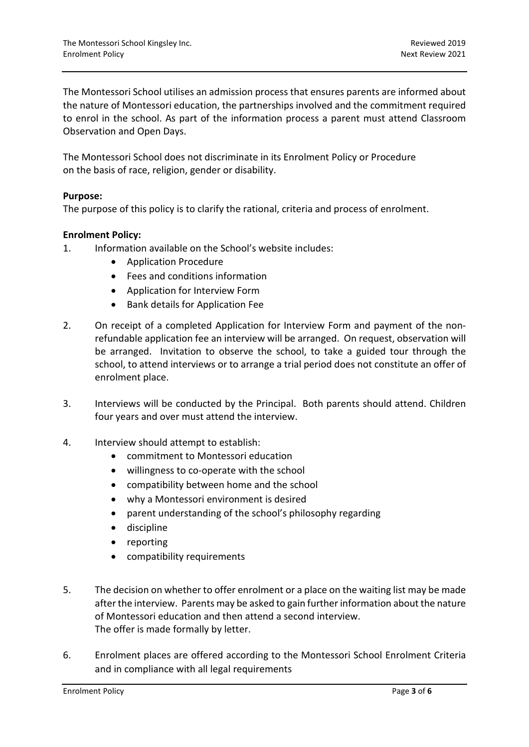The Montessori School utilises an admission process that ensures parents are informed about the nature of Montessori education, the partnerships involved and the commitment required to enrol in the school. As part of the information process a parent must attend Classroom Observation and Open Days.

The Montessori School does not discriminate in its Enrolment Policy or Procedure on the basis of race, religion, gender or disability.

# **Purpose:**

The purpose of this policy is to clarify the rational, criteria and process of enrolment.

# **Enrolment Policy:**

- 1. Information available on the School's website includes:
	- Application Procedure
	- Fees and conditions information
	- Application for Interview Form
	- Bank details for Application Fee
- 2. On receipt of a completed Application for Interview Form and payment of the nonrefundable application fee an interview will be arranged. On request, observation will be arranged. Invitation to observe the school, to take a guided tour through the school, to attend interviews or to arrange a trial period does not constitute an offer of enrolment place.
- 3. Interviews will be conducted by the Principal. Both parents should attend. Children four years and over must attend the interview.
- 4. Interview should attempt to establish:
	- commitment to Montessori education
	- willingness to co-operate with the school
	- compatibility between home and the school
	- why a Montessori environment is desired
	- parent understanding of the school's philosophy regarding
	- discipline
	- reporting
	- compatibility requirements
- 5. The decision on whether to offer enrolment or a place on the waiting list may be made after the interview. Parents may be asked to gain further information about the nature of Montessori education and then attend a second interview. The offer is made formally by letter.
- 6. Enrolment places are offered according to the Montessori School Enrolment Criteria and in compliance with all legal requirements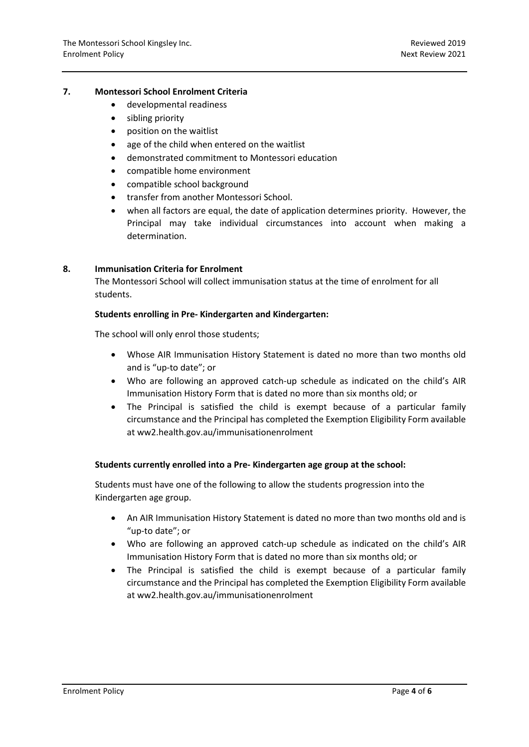#### **7. Montessori School Enrolment Criteria**

- developmental readiness
- sibling priority
- position on the waitlist
- age of the child when entered on the waitlist
- demonstrated commitment to Montessori education
- compatible home environment
- compatible school background
- transfer from another Montessori School.
- when all factors are equal, the date of application determines priority. However, the Principal may take individual circumstances into account when making a determination.

#### **8. Immunisation Criteria for Enrolment**

The Montessori School will collect immunisation status at the time of enrolment for all students.

#### **Students enrolling in Pre- Kindergarten and Kindergarten:**

The school will only enrol those students;

- Whose AIR Immunisation History Statement is dated no more than two months old and is "up-to date"; or
- Who are following an approved catch-up schedule as indicated on the child's AIR Immunisation History Form that is dated no more than six months old; or
- The Principal is satisfied the child is exempt because of a particular family circumstance and the Principal has completed the Exemption Eligibility Form available at ww2.health.gov.au/immunisationenrolment

# **Students currently enrolled into a Pre- Kindergarten age group at the school:**

Students must have one of the following to allow the students progression into the Kindergarten age group.

- An AIR Immunisation History Statement is dated no more than two months old and is "up-to date"; or
- Who are following an approved catch-up schedule as indicated on the child's AIR Immunisation History Form that is dated no more than six months old; or
- The Principal is satisfied the child is exempt because of a particular family circumstance and the Principal has completed the Exemption Eligibility Form available at ww2.health.gov.au/immunisationenrolment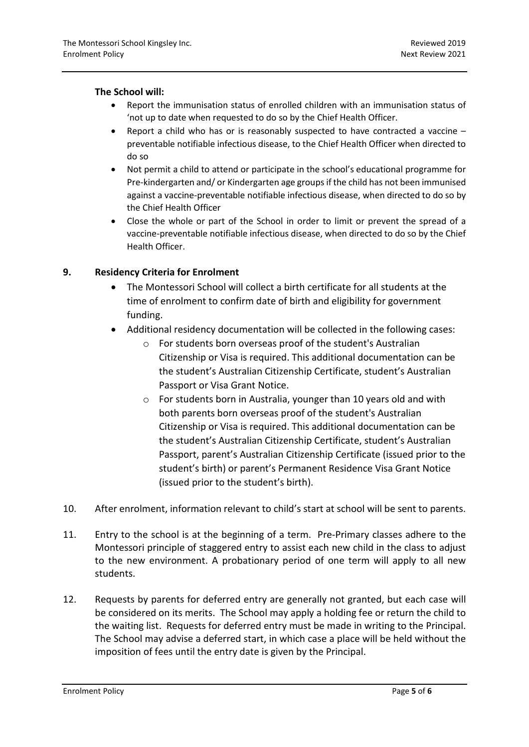# **The School will:**

- Report the immunisation status of enrolled children with an immunisation status of 'not up to date when requested to do so by the Chief Health Officer.
- Report a child who has or is reasonably suspected to have contracted a vaccine preventable notifiable infectious disease, to the Chief Health Officer when directed to do so
- Not permit a child to attend or participate in the school's educational programme for Pre-kindergarten and/ or Kindergarten age groups if the child has not been immunised against a vaccine-preventable notifiable infectious disease, when directed to do so by the Chief Health Officer
- Close the whole or part of the School in order to limit or prevent the spread of a vaccine-preventable notifiable infectious disease, when directed to do so by the Chief Health Officer.

# **9. Residency Criteria for Enrolment**

- The Montessori School will collect a birth certificate for all students at the time of enrolment to confirm date of birth and eligibility for government funding.
- Additional residency documentation will be collected in the following cases:
	- o For students born overseas proof of the student's Australian Citizenship or Visa is required. This additional documentation can be the student's Australian Citizenship Certificate, student's Australian Passport or Visa Grant Notice.
	- o For students born in Australia, younger than 10 years old and with both parents born overseas proof of the student's Australian Citizenship or Visa is required. This additional documentation can be the student's Australian Citizenship Certificate, student's Australian Passport, parent's Australian Citizenship Certificate (issued prior to the student's birth) or parent's Permanent Residence Visa Grant Notice (issued prior to the student's birth).
- 10. After enrolment, information relevant to child's start at school will be sent to parents.
- 11. Entry to the school is at the beginning of a term. Pre-Primary classes adhere to the Montessori principle of staggered entry to assist each new child in the class to adjust to the new environment. A probationary period of one term will apply to all new students.
- 12. Requests by parents for deferred entry are generally not granted, but each case will be considered on its merits. The School may apply a holding fee or return the child to the waiting list. Requests for deferred entry must be made in writing to the Principal. The School may advise a deferred start, in which case a place will be held without the imposition of fees until the entry date is given by the Principal.